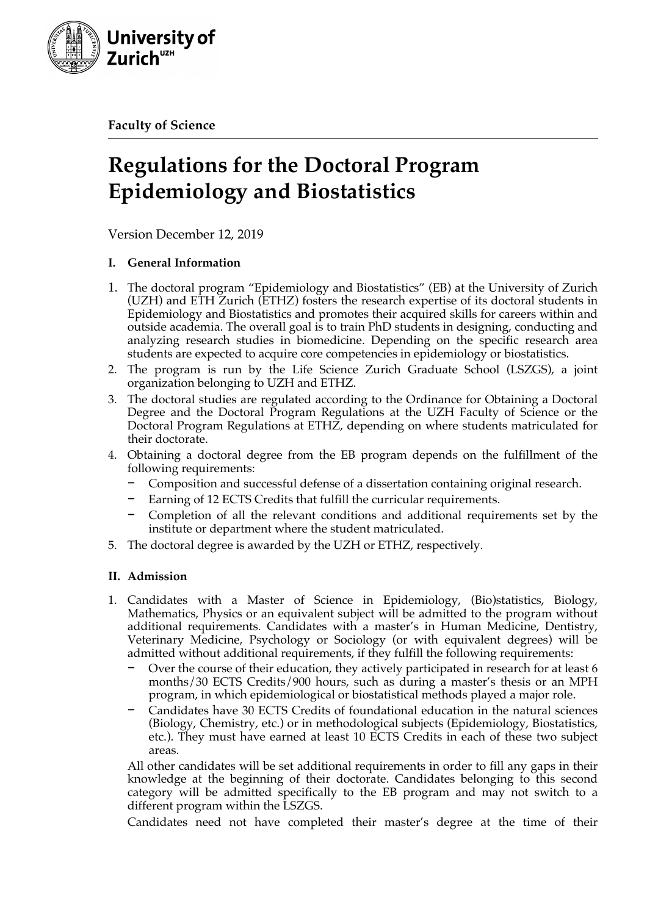

**Faculty of Science**

# **Regulations for the Doctoral Program Epidemiology and Biostatistics**

Version December 12, 2019

# **I. General Information**

- 1. The doctoral program "Epidemiology and Biostatistics" (EB) at the University of Zurich (UZH) and ETH Zurich (ETHZ) fosters the research expertise of its doctoral students in Epidemiology and Biostatistics and promotes their acquired skills for careers within and outside academia. The overall goal is to train PhD students in designing, conducting and analyzing research studies in biomedicine. Depending on the specific research area students are expected to acquire core competencies in epidemiology or biostatistics.
- 2. The program is run by the Life Science Zurich Graduate School (LSZGS), a joint organization belonging to UZH and ETHZ.
- 3. The doctoral studies are regulated according to the Ordinance for Obtaining a Doctoral Degree and the Doctoral Program Regulations at the UZH Faculty of Science or the Doctoral Program Regulations at ETHZ, depending on where students matriculated for their doctorate.
- 4. Obtaining a doctoral degree from the EB program depends on the fulfillment of the following requirements:
	- − Composition and successful defense of a dissertation containing original research.
	- Earning of 12 ECTS Credits that fulfill the curricular requirements.
	- − Completion of all the relevant conditions and additional requirements set by the institute or department where the student matriculated.
- 5. The doctoral degree is awarded by the UZH or ETHZ, respectively.

# **II. Admission**

- 1. Candidates with a Master of Science in Epidemiology, (Bio)statistics, Biology, Mathematics, Physics or an equivalent subject will be admitted to the program without additional requirements. Candidates with a master's in Human Medicine, Dentistry, Veterinary Medicine, Psychology or Sociology (or with equivalent degrees) will be admitted without additional requirements, if they fulfill the following requirements:
	- Over the course of their education, they actively participated in research for at least 6 months/30 ECTS Credits/900 hours, such as during a master's thesis or an MPH program, in which epidemiological or biostatistical methods played a major role.
	- − Candidates have 30 ECTS Credits of foundational education in the natural sciences (Biology, Chemistry, etc.) or in methodological subjects (Epidemiology, Biostatistics, etc.). They must have earned at least 10 ECTS Credits in each of these two subject areas.

All other candidates will be set additional requirements in order to fill any gaps in their knowledge at the beginning of their doctorate. Candidates belonging to this second category will be admitted specifically to the EB program and may not switch to a different program within the LSZGS.

Candidates need not have completed their master's degree at the time of their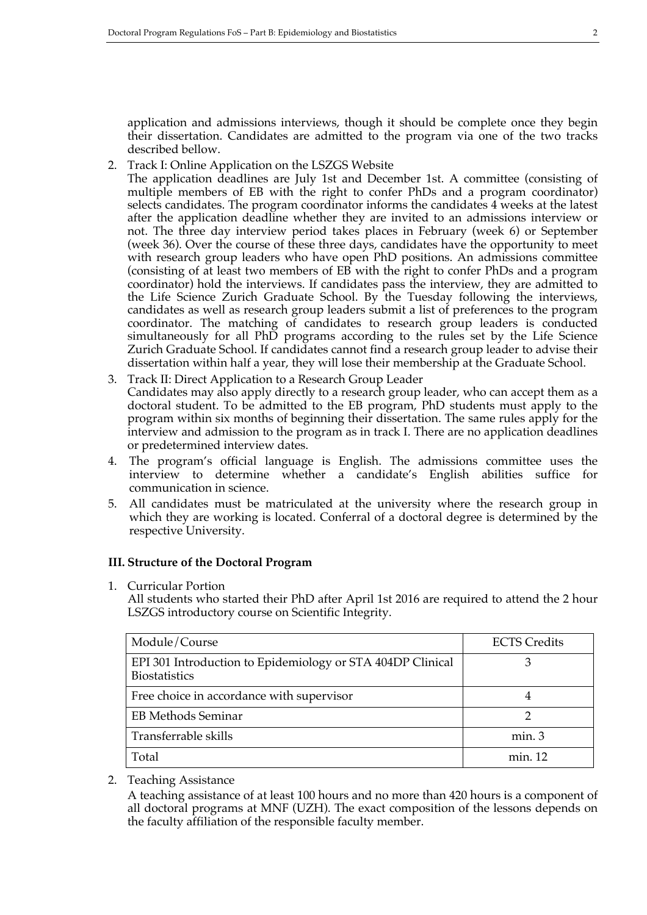application and admissions interviews, though it should be complete once they begin their dissertation. Candidates are admitted to the program via one of the two tracks described bellow.

2. Track I: Online Application on the LSZGS Website

The application deadlines are July 1st and December 1st. A committee (consisting of multiple members of EB with the right to confer PhDs and a program coordinator) selects candidates. The program coordinator informs the candidates 4 weeks at the latest after the application deadline whether they are invited to an admissions interview or not. The three day interview period takes places in February (week 6) or September (week 36). Over the course of these three days, candidates have the opportunity to meet with research group leaders who have open PhD positions. An admissions committee (consisting of at least two members of EB with the right to confer PhDs and a program coordinator) hold the interviews. If candidates pass the interview, they are admitted to the Life Science Zurich Graduate School. By the Tuesday following the interviews, candidates as well as research group leaders submit a list of preferences to the program coordinator. The matching of candidates to research group leaders is conducted simultaneously for all PhD programs according to the rules set by the Life Science Zurich Graduate School. If candidates cannot find a research group leader to advise their dissertation within half a year, they will lose their membership at the Graduate School.

- 3. Track II: Direct Application to a Research Group Leader Candidates may also apply directly to a research group leader, who can accept them as a doctoral student. To be admitted to the EB program, PhD students must apply to the program within six months of beginning their dissertation. The same rules apply for the interview and admission to the program as in track I. There are no application deadlines or predetermined interview dates.
- 4. The program's official language is English. The admissions committee uses the interview to determine whether a candidate's English abilities suffice for communication in science.
- 5. All candidates must be matriculated at the university where the research group in which they are working is located. Conferral of a doctoral degree is determined by the respective University.

### **III. Structure of the Doctoral Program**

1. Curricular Portion

All students who started their PhD after April 1st 2016 are required to attend the 2 hour LSZGS introductory course on Scientific Integrity.

| Module/Course                                                                      | <b>ECTS</b> Credits |
|------------------------------------------------------------------------------------|---------------------|
| EPI 301 Introduction to Epidemiology or STA 404DP Clinical<br><b>Biostatistics</b> |                     |
| Free choice in accordance with supervisor                                          |                     |
| <b>EB Methods Seminar</b>                                                          |                     |
| Transferrable skills                                                               | min.3               |
| Total                                                                              | min. 12             |

2. Teaching Assistance

A teaching assistance of at least 100 hours and no more than 420 hours is a component of all doctoral programs at MNF (UZH). The exact composition of the lessons depends on the faculty affiliation of the responsible faculty member.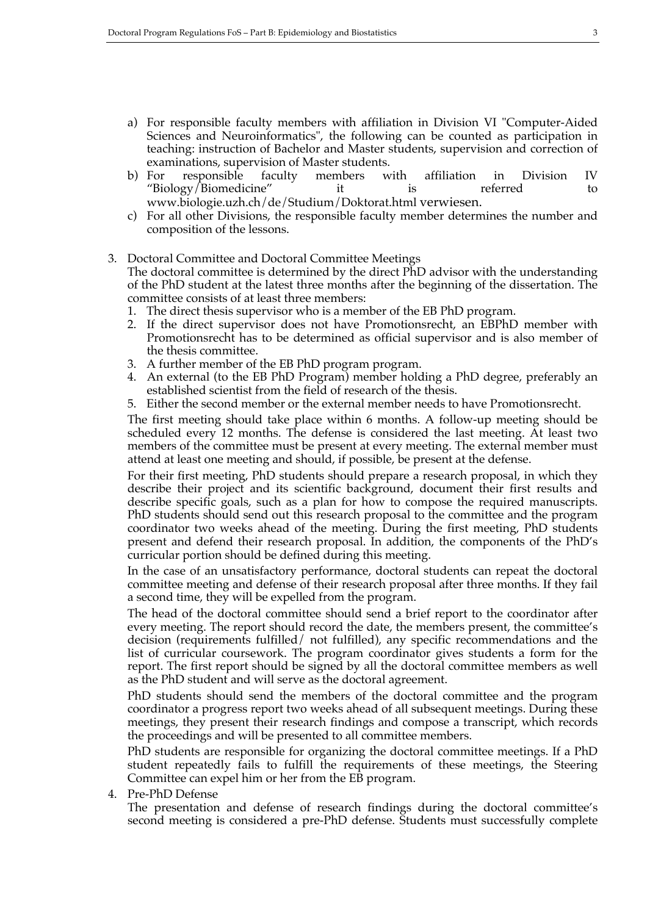- a) For responsible faculty members with affiliation in Division VI "Computer-Aided Sciences and Neuroinformatics", the following can be counted as participation in teaching: instruction of Bachelor and Master students, supervision and correction of examinations, supervision of Master students.
- b) For responsible faculty members with affiliation in Division IV "Biology/Biomedicine" it is referred to www.biologie.uzh.ch/de/Studium/Doktorat.html verwiesen.
- c) For all other Divisions, the responsible faculty member determines the number and composition of the lessons.

### 3. Doctoral Committee and Doctoral Committee Meetings The doctoral committee is determined by the direct PhD advisor with the understanding of the PhD student at the latest three months after the beginning of the dissertation. The committee consists of at least three members:

- 1. The direct thesis supervisor who is a member of the EB PhD program.
- 2. If the direct supervisor does not have Promotionsrecht, an EBPhD member with Promotionsrecht has to be determined as official supervisor and is also member of the thesis committee.
- 3. A further member of the EB PhD program program.
- 4. An external (to the EB PhD Program) member holding a PhD degree, preferably an established scientist from the field of research of the thesis.
- 5. Either the second member or the external member needs to have Promotionsrecht.

The first meeting should take place within 6 months. A follow-up meeting should be scheduled every 12 months. The defense is considered the last meeting. At least two members of the committee must be present at every meeting. The external member must attend at least one meeting and should, if possible, be present at the defense.

For their first meeting, PhD students should prepare a research proposal, in which they describe their project and its scientific background, document their first results and describe specific goals, such as a plan for how to compose the required manuscripts. PhD students should send out this research proposal to the committee and the program coordinator two weeks ahead of the meeting. During the first meeting, PhD students present and defend their research proposal. In addition, the components of the PhD's curricular portion should be defined during this meeting.

In the case of an unsatisfactory performance, doctoral students can repeat the doctoral committee meeting and defense of their research proposal after three months. If they fail a second time, they will be expelled from the program.

The head of the doctoral committee should send a brief report to the coordinator after every meeting. The report should record the date, the members present, the committee's decision (requirements fulfilled/ not fulfilled), any specific recommendations and the list of curricular coursework. The program coordinator gives students a form for the report. The first report should be signed by all the doctoral committee members as well as the PhD student and will serve as the doctoral agreement.

PhD students should send the members of the doctoral committee and the program coordinator a progress report two weeks ahead of all subsequent meetings. During these meetings, they present their research findings and compose a transcript, which records the proceedings and will be presented to all committee members.

PhD students are responsible for organizing the doctoral committee meetings. If a PhD student repeatedly fails to fulfill the requirements of these meetings, the Steering Committee can expel him or her from the EB program.

4. Pre-PhD Defense

The presentation and defense of research findings during the doctoral committee's second meeting is considered a pre-PhD defense. Students must successfully complete